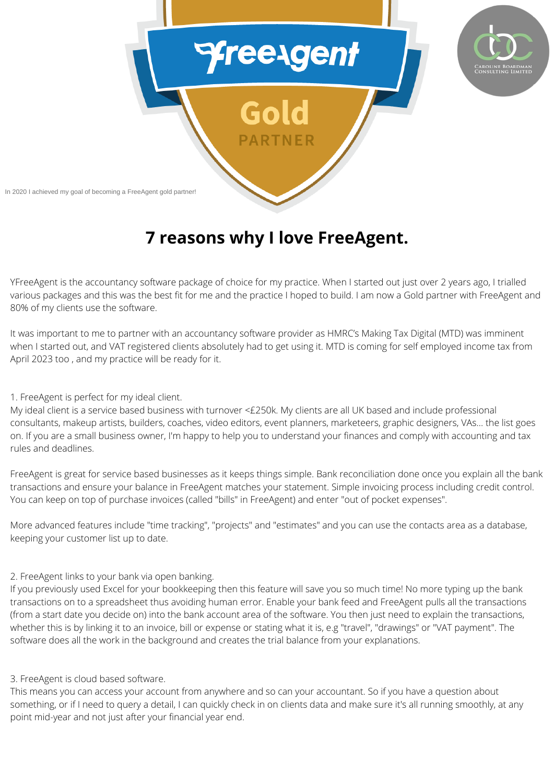

# **7 reasons why I love FreeAgent.**

YFreeAgent is the accountancy software package of choice for my practice. When I started out just over 2 years ago, I trialled various packages and this was the best fit for me and the practice I hoped to build. I am now a Gold partner with FreeAgent and 80% of my clients use the software.

It was important to me to partner with an accountancy software provider as HMRC's Making Tax Digital (MTD) was imminent when I started out, and VAT registered clients absolutely had to get using it. MTD is coming for self employed income tax from April 2023 too , and my practice will be ready for it.

### 1. FreeAgent is perfect for my ideal client.

My ideal client is a service based business with turnover <£250k. My clients are all UK based and include professional consultants, makeup artists, builders, coaches, video editors, event planners, marketeers, graphic designers, VAs... the list goes on. If you are a small business owner, I'm happy to help you to understand your finances and comply with accounting and tax rules and deadlines.

FreeAgent is great for service based businesses as it keeps things simple. Bank reconciliation done once you explain all the bank transactions and ensure your balance in FreeAgent matches your statement. Simple invoicing process including credit control. You can keep on top of purchase invoices (called "bills" in FreeAgent) and enter "out of pocket expenses".

More advanced features include "time tracking", "projects" and "estimates" and you can use the contacts area as a database, keeping your customer list up to date.

## 2. FreeAgent links to your bank via open banking.

If you previously used Excel for your bookkeeping then this feature will save you so much time! No more typing up the bank transactions on to a spreadsheet thus avoiding human error. Enable your bank feed and FreeAgent pulls all the transactions (from a start date you decide on) into the bank account area of the software. You then just need to explain the transactions, whether this is by linking it to an invoice, bill or expense or stating what it is, e.g "travel", "drawings" or "VAT payment". The software does all the work in the background and creates the trial balance from your explanations.

## 3. FreeAgent is cloud based software.

This means you can access your account from anywhere and so can your accountant. So if you have a question about something, or if I need to query a detail, I can quickly check in on clients data and make sure it's all running smoothly, at any point mid-year and not just after your financial year end.